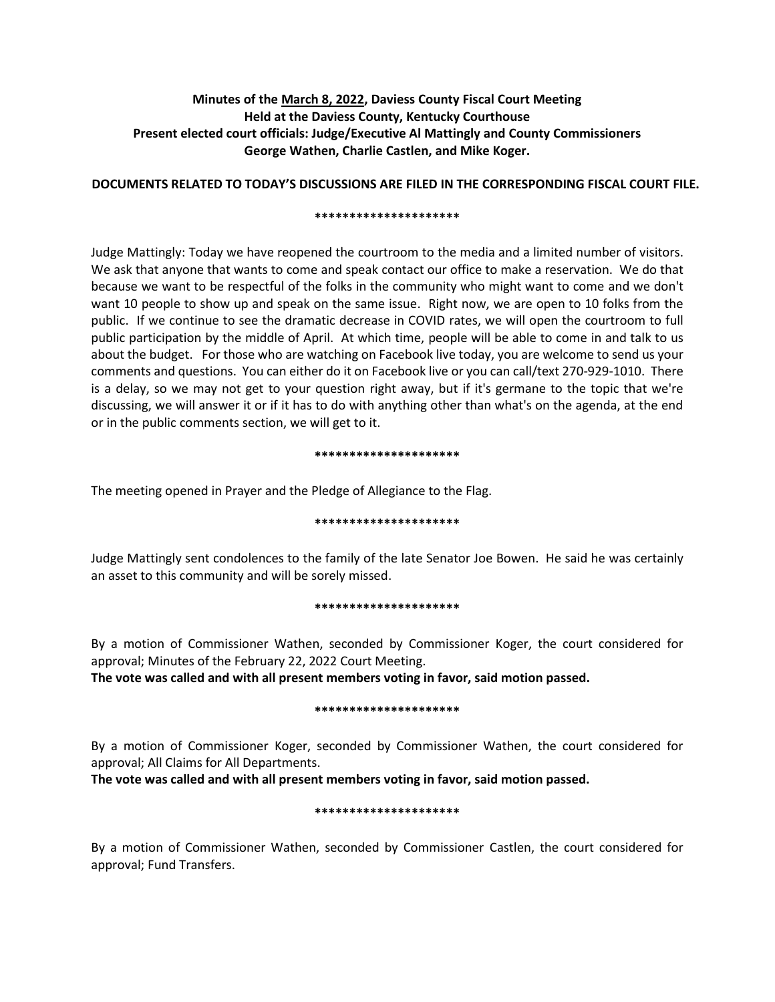# **Minutes of the March 8, 2022, Daviess County Fiscal Court Meeting Held at the Daviess County, Kentucky Courthouse Present elected court officials: Judge/Executive Al Mattingly and County Commissioners George Wathen, Charlie Castlen, and Mike Koger.**

## **DOCUMENTS RELATED TO TODAY'S DISCUSSIONS ARE FILED IN THE CORRESPONDING FISCAL COURT FILE.**

#### **\*\*\*\*\*\*\*\*\*\*\*\*\*\*\*\*\*\*\*\*\***

Judge Mattingly: Today we have reopened the courtroom to the media and a limited number of visitors. We ask that anyone that wants to come and speak contact our office to make a reservation. We do that because we want to be respectful of the folks in the community who might want to come and we don't want 10 people to show up and speak on the same issue. Right now, we are open to 10 folks from the public. If we continue to see the dramatic decrease in COVID rates, we will open the courtroom to full public participation by the middle of April. At which time, people will be able to come in and talk to us about the budget. For those who are watching on Facebook live today, you are welcome to send us your comments and questions. You can either do it on Facebook live or you can call/text 270-929-1010. There is a delay, so we may not get to your question right away, but if it's germane to the topic that we're discussing, we will answer it or if it has to do with anything other than what's on the agenda, at the end or in the public comments section, we will get to it.

#### **\*\*\*\*\*\*\*\*\*\*\*\*\*\*\*\*\*\*\*\*\***

The meeting opened in Prayer and the Pledge of Allegiance to the Flag.

#### **\*\*\*\*\*\*\*\*\*\*\*\*\*\*\*\*\*\*\*\*\***

Judge Mattingly sent condolences to the family of the late Senator Joe Bowen. He said he was certainly an asset to this community and will be sorely missed.

#### **\*\*\*\*\*\*\*\*\*\*\*\*\*\*\*\*\*\*\*\*\***

By a motion of Commissioner Wathen, seconded by Commissioner Koger, the court considered for approval; Minutes of the February 22, 2022 Court Meeting.

**The vote was called and with all present members voting in favor, said motion passed.** 

### **\*\*\*\*\*\*\*\*\*\*\*\*\*\*\*\*\*\*\*\*\***

By a motion of Commissioner Koger, seconded by Commissioner Wathen, the court considered for approval; All Claims for All Departments.

**The vote was called and with all present members voting in favor, said motion passed.** 

### **\*\*\*\*\*\*\*\*\*\*\*\*\*\*\*\*\*\*\*\*\***

By a motion of Commissioner Wathen, seconded by Commissioner Castlen, the court considered for approval; Fund Transfers.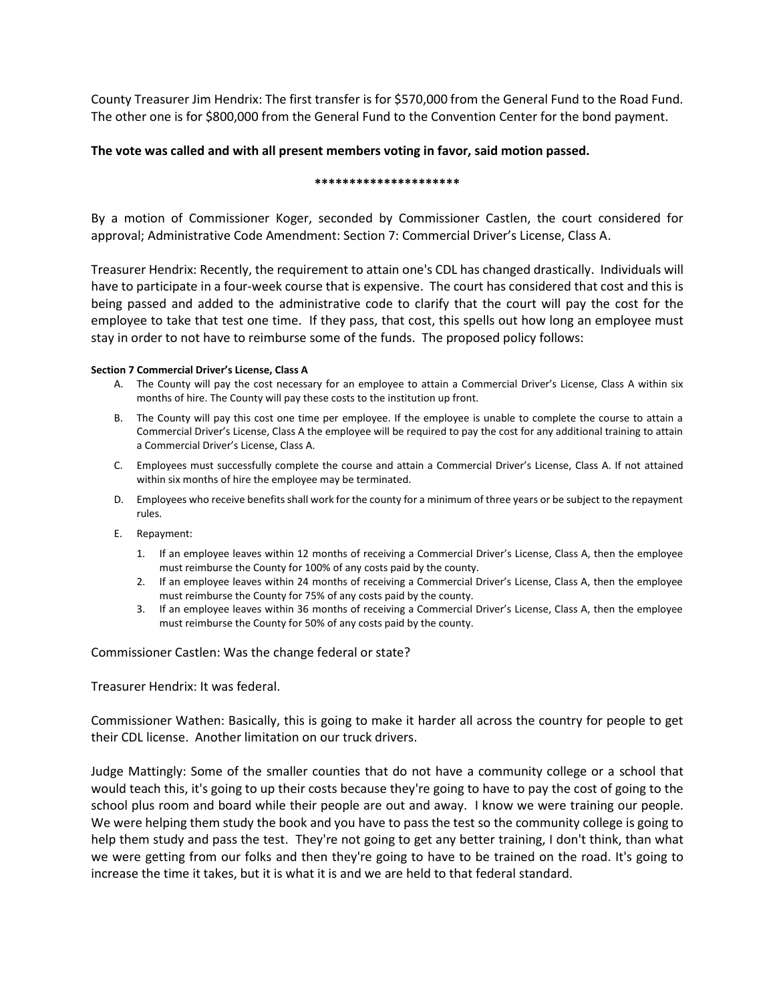County Treasurer Jim Hendrix: The first transfer is for \$570,000 from the General Fund to the Road Fund. The other one is for \$800,000 from the General Fund to the Convention Center for the bond payment.

## **The vote was called and with all present members voting in favor, said motion passed.**

#### **\*\*\*\*\*\*\*\*\*\*\*\*\*\*\*\*\*\*\*\*\***

By a motion of Commissioner Koger, seconded by Commissioner Castlen, the court considered for approval; Administrative Code Amendment: Section 7: Commercial Driver's License, Class A.

Treasurer Hendrix: Recently, the requirement to attain one's CDL has changed drastically. Individuals will have to participate in a four-week course that is expensive. The court has considered that cost and this is being passed and added to the administrative code to clarify that the court will pay the cost for the employee to take that test one time. If they pass, that cost, this spells out how long an employee must stay in order to not have to reimburse some of the funds. The proposed policy follows:

### **Section 7 Commercial Driver's License, Class A**

- A. The County will pay the cost necessary for an employee to attain a Commercial Driver's License, Class A within six months of hire. The County will pay these costs to the institution up front.
- B. The County will pay this cost one time per employee. If the employee is unable to complete the course to attain a Commercial Driver's License, Class A the employee will be required to pay the cost for any additional training to attain a Commercial Driver's License, Class A.
- C. Employees must successfully complete the course and attain a Commercial Driver's License, Class A. If not attained within six months of hire the employee may be terminated.
- D. Employees who receive benefits shall work for the county for a minimum of three years or be subject to the repayment rules.
- E. Repayment:
	- 1. If an employee leaves within 12 months of receiving a Commercial Driver's License, Class A, then the employee must reimburse the County for 100% of any costs paid by the county.
	- 2. If an employee leaves within 24 months of receiving a Commercial Driver's License, Class A, then the employee must reimburse the County for 75% of any costs paid by the county.
	- 3. If an employee leaves within 36 months of receiving a Commercial Driver's License, Class A, then the employee must reimburse the County for 50% of any costs paid by the county.

Commissioner Castlen: Was the change federal or state?

Treasurer Hendrix: It was federal.

Commissioner Wathen: Basically, this is going to make it harder all across the country for people to get their CDL license. Another limitation on our truck drivers.

Judge Mattingly: Some of the smaller counties that do not have a community college or a school that would teach this, it's going to up their costs because they're going to have to pay the cost of going to the school plus room and board while their people are out and away. I know we were training our people. We were helping them study the book and you have to pass the test so the community college is going to help them study and pass the test. They're not going to get any better training, I don't think, than what we were getting from our folks and then they're going to have to be trained on the road. It's going to increase the time it takes, but it is what it is and we are held to that federal standard.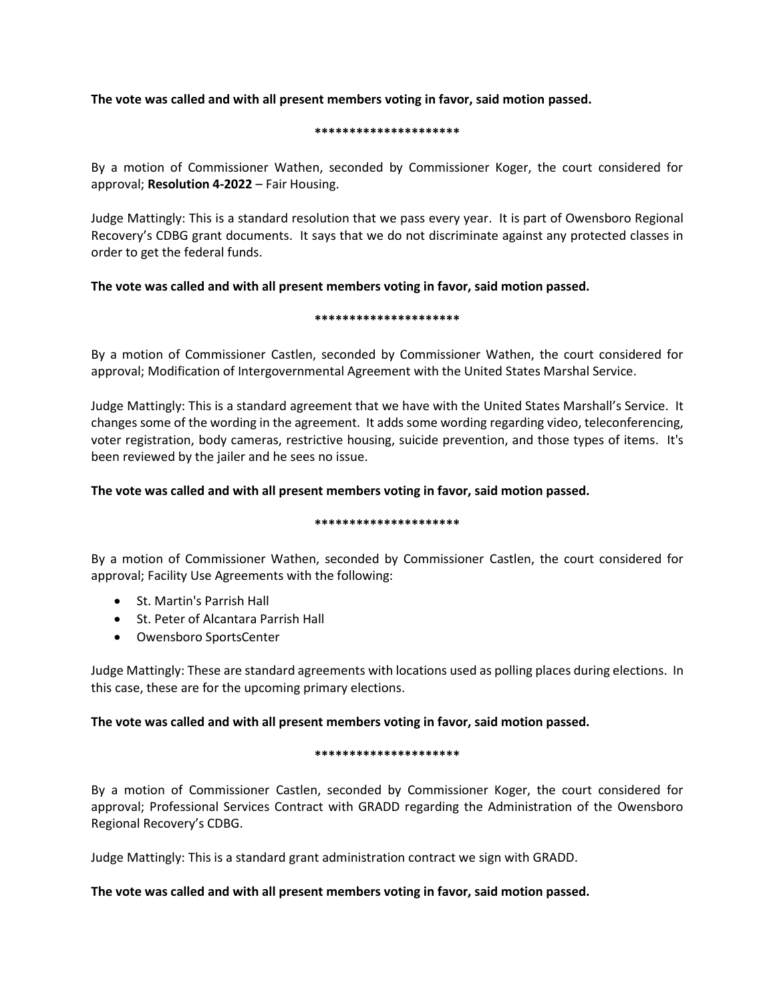**The vote was called and with all present members voting in favor, said motion passed.**

### **\*\*\*\*\*\*\*\*\*\*\*\*\*\*\*\*\*\*\*\*\***

By a motion of Commissioner Wathen, seconded by Commissioner Koger, the court considered for approval; **Resolution 4-2022** – Fair Housing.

Judge Mattingly: This is a standard resolution that we pass every year. It is part of Owensboro Regional Recovery's CDBG grant documents. It says that we do not discriminate against any protected classes in order to get the federal funds.

# **The vote was called and with all present members voting in favor, said motion passed.**

### **\*\*\*\*\*\*\*\*\*\*\*\*\*\*\*\*\*\*\*\*\***

By a motion of Commissioner Castlen, seconded by Commissioner Wathen, the court considered for approval; Modification of Intergovernmental Agreement with the United States Marshal Service.

Judge Mattingly: This is a standard agreement that we have with the United States Marshall's Service. It changes some of the wording in the agreement. It adds some wording regarding video, teleconferencing, voter registration, body cameras, restrictive housing, suicide prevention, and those types of items. It's been reviewed by the jailer and he sees no issue.

# **The vote was called and with all present members voting in favor, said motion passed.**

#### **\*\*\*\*\*\*\*\*\*\*\*\*\*\*\*\*\*\*\*\*\***

By a motion of Commissioner Wathen, seconded by Commissioner Castlen, the court considered for approval; Facility Use Agreements with the following:

- St. Martin's Parrish Hall
- St. Peter of Alcantara Parrish Hall
- Owensboro SportsCenter

Judge Mattingly: These are standard agreements with locations used as polling places during elections. In this case, these are for the upcoming primary elections.

# **The vote was called and with all present members voting in favor, said motion passed.**

### **\*\*\*\*\*\*\*\*\*\*\*\*\*\*\*\*\*\*\*\*\***

By a motion of Commissioner Castlen, seconded by Commissioner Koger, the court considered for approval; Professional Services Contract with GRADD regarding the Administration of the Owensboro Regional Recovery's CDBG.

Judge Mattingly: This is a standard grant administration contract we sign with GRADD.

# **The vote was called and with all present members voting in favor, said motion passed.**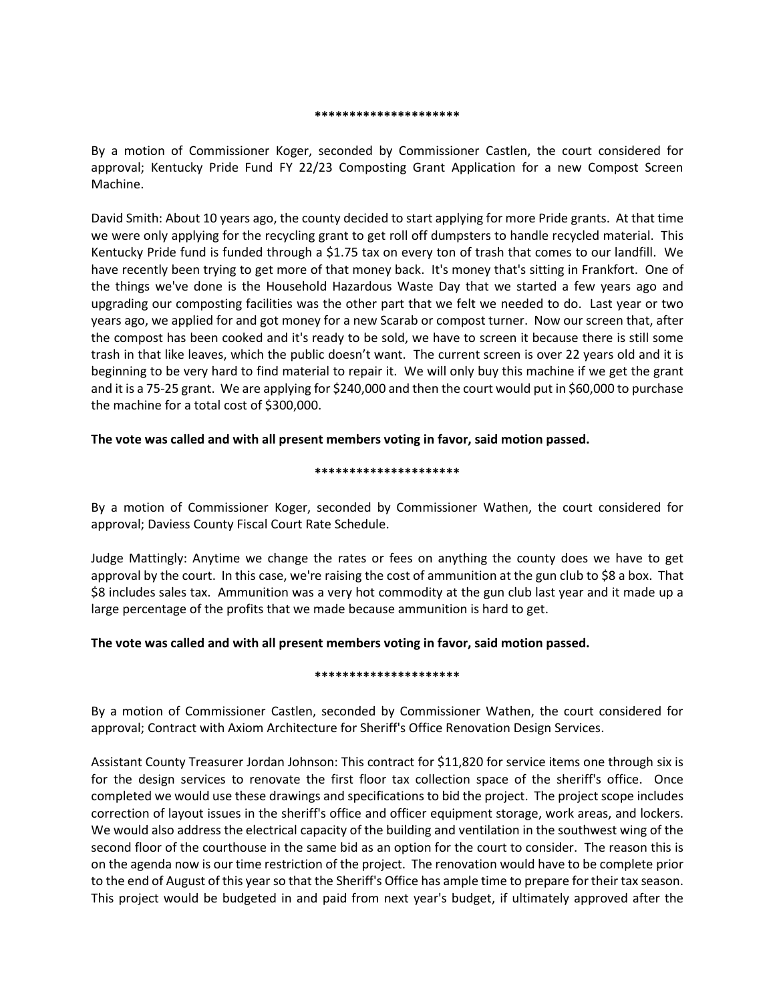#### **\*\*\*\*\*\*\*\*\*\*\*\*\*\*\*\*\*\*\*\*\***

By a motion of Commissioner Koger, seconded by Commissioner Castlen, the court considered for approval; Kentucky Pride Fund FY 22/23 Composting Grant Application for a new Compost Screen Machine.

David Smith: About 10 years ago, the county decided to start applying for more Pride grants. At that time we were only applying for the recycling grant to get roll off dumpsters to handle recycled material. This Kentucky Pride fund is funded through a \$1.75 tax on every ton of trash that comes to our landfill. We have recently been trying to get more of that money back. It's money that's sitting in Frankfort. One of the things we've done is the Household Hazardous Waste Day that we started a few years ago and upgrading our composting facilities was the other part that we felt we needed to do. Last year or two years ago, we applied for and got money for a new Scarab or compost turner. Now our screen that, after the compost has been cooked and it's ready to be sold, we have to screen it because there is still some trash in that like leaves, which the public doesn't want. The current screen is over 22 years old and it is beginning to be very hard to find material to repair it. We will only buy this machine if we get the grant and it is a 75-25 grant. We are applying for \$240,000 and then the court would put in \$60,000 to purchase the machine for a total cost of \$300,000.

## **The vote was called and with all present members voting in favor, said motion passed.**

### **\*\*\*\*\*\*\*\*\*\*\*\*\*\*\*\*\*\*\*\*\***

By a motion of Commissioner Koger, seconded by Commissioner Wathen, the court considered for approval; Daviess County Fiscal Court Rate Schedule.

Judge Mattingly: Anytime we change the rates or fees on anything the county does we have to get approval by the court. In this case, we're raising the cost of ammunition at the gun club to \$8 a box. That \$8 includes sales tax. Ammunition was a very hot commodity at the gun club last year and it made up a large percentage of the profits that we made because ammunition is hard to get.

### **The vote was called and with all present members voting in favor, said motion passed.**

#### **\*\*\*\*\*\*\*\*\*\*\*\*\*\*\*\*\*\*\*\*\***

By a motion of Commissioner Castlen, seconded by Commissioner Wathen, the court considered for approval; Contract with Axiom Architecture for Sheriff's Office Renovation Design Services.

Assistant County Treasurer Jordan Johnson: This contract for \$11,820 for service items one through six is for the design services to renovate the first floor tax collection space of the sheriff's office. Once completed we would use these drawings and specifications to bid the project. The project scope includes correction of layout issues in the sheriff's office and officer equipment storage, work areas, and lockers. We would also address the electrical capacity of the building and ventilation in the southwest wing of the second floor of the courthouse in the same bid as an option for the court to consider. The reason this is on the agenda now is our time restriction of the project. The renovation would have to be complete prior to the end of August of this year so that the Sheriff's Office has ample time to prepare for their tax season. This project would be budgeted in and paid from next year's budget, if ultimately approved after the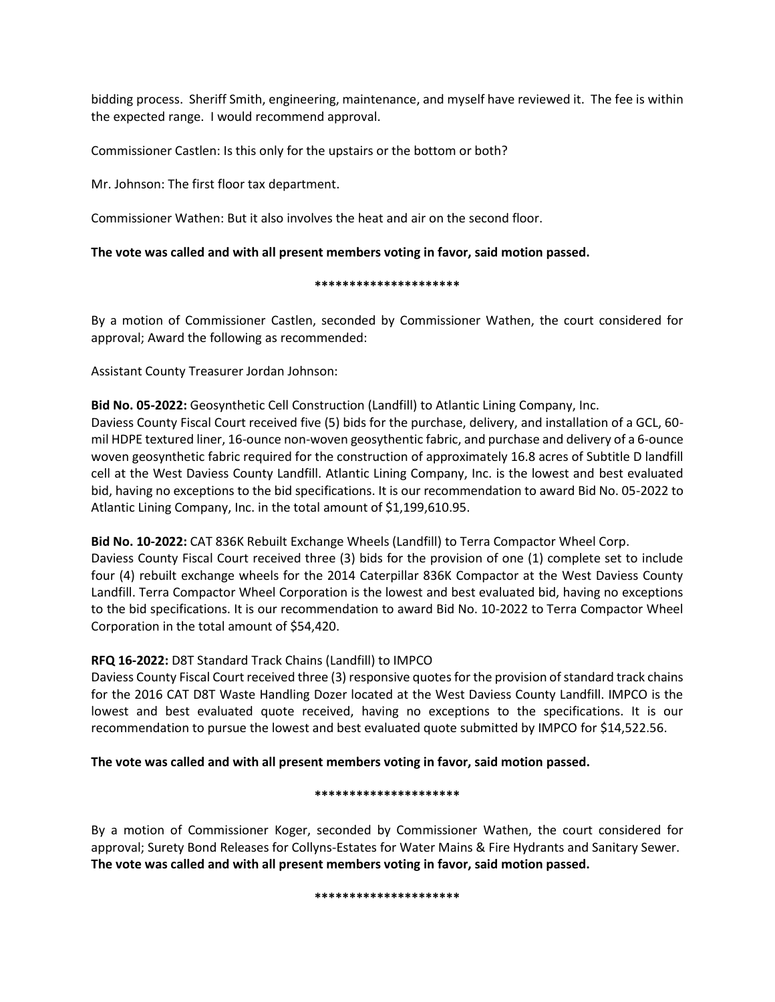bidding process. Sheriff Smith, engineering, maintenance, and myself have reviewed it. The fee is within the expected range. I would recommend approval.

Commissioner Castlen: Is this only for the upstairs or the bottom or both?

Mr. Johnson: The first floor tax department.

Commissioner Wathen: But it also involves the heat and air on the second floor.

## **The vote was called and with all present members voting in favor, said motion passed.**

### **\*\*\*\*\*\*\*\*\*\*\*\*\*\*\*\*\*\*\*\*\***

By a motion of Commissioner Castlen, seconded by Commissioner Wathen, the court considered for approval; Award the following as recommended:

Assistant County Treasurer Jordan Johnson:

**Bid No. 05-2022:** Geosynthetic Cell Construction (Landfill) to Atlantic Lining Company, Inc. Daviess County Fiscal Court received five (5) bids for the purchase, delivery, and installation of a GCL, 60 mil HDPE textured liner, 16-ounce non-woven geosythentic fabric, and purchase and delivery of a 6-ounce woven geosynthetic fabric required for the construction of approximately 16.8 acres of Subtitle D landfill cell at the West Daviess County Landfill. Atlantic Lining Company, Inc. is the lowest and best evaluated bid, having no exceptions to the bid specifications. It is our recommendation to award Bid No. 05-2022 to Atlantic Lining Company, Inc. in the total amount of \$1,199,610.95.

**Bid No. 10-2022:** CAT 836K Rebuilt Exchange Wheels (Landfill) to Terra Compactor Wheel Corp. Daviess County Fiscal Court received three (3) bids for the provision of one (1) complete set to include four (4) rebuilt exchange wheels for the 2014 Caterpillar 836K Compactor at the West Daviess County Landfill. Terra Compactor Wheel Corporation is the lowest and best evaluated bid, having no exceptions to the bid specifications. It is our recommendation to award Bid No. 10-2022 to Terra Compactor Wheel Corporation in the total amount of \$54,420.

# **RFQ 16-2022:** D8T Standard Track Chains (Landfill) to IMPCO

Daviess County Fiscal Court received three (3) responsive quotes for the provision of standard track chains for the 2016 CAT D8T Waste Handling Dozer located at the West Daviess County Landfill. IMPCO is the lowest and best evaluated quote received, having no exceptions to the specifications. It is our recommendation to pursue the lowest and best evaluated quote submitted by IMPCO for \$14,522.56.

**The vote was called and with all present members voting in favor, said motion passed.**

#### **\*\*\*\*\*\*\*\*\*\*\*\*\*\*\*\*\*\*\*\*\***

By a motion of Commissioner Koger, seconded by Commissioner Wathen, the court considered for approval; Surety Bond Releases for Collyns-Estates for Water Mains & Fire Hydrants and Sanitary Sewer. **The vote was called and with all present members voting in favor, said motion passed.**

#### **\*\*\*\*\*\*\*\*\*\*\*\*\*\*\*\*\*\*\*\*\***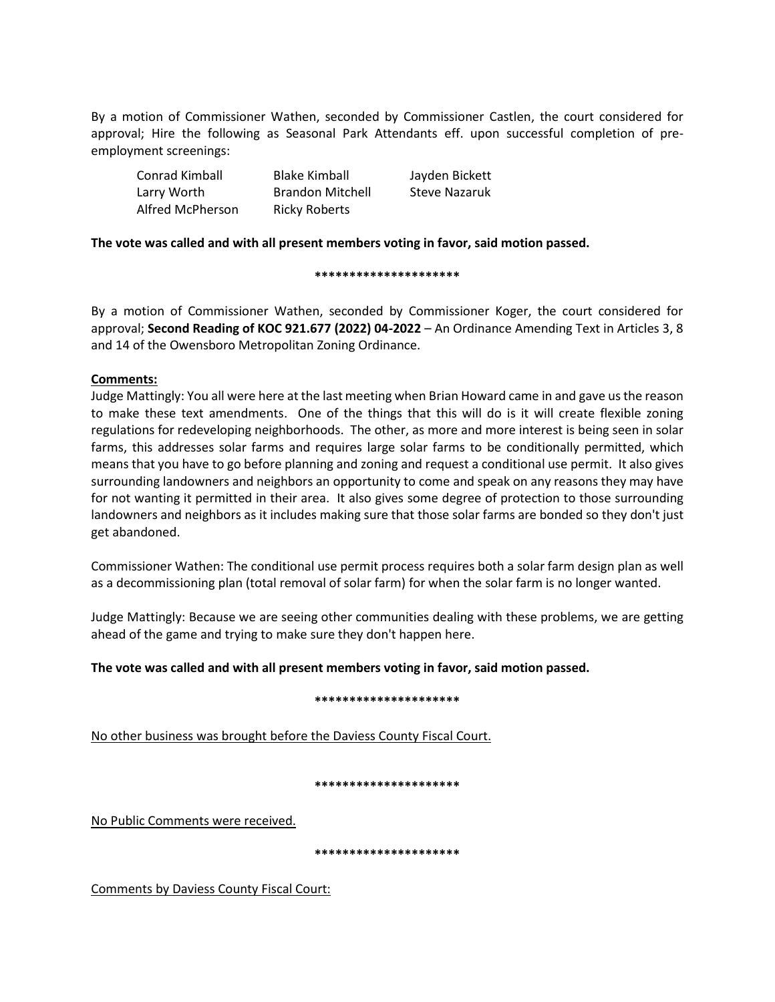By a motion of Commissioner Wathen, seconded by Commissioner Castlen, the court considered for approval; Hire the following as Seasonal Park Attendants eff. upon successful completion of preemployment screenings:

| Conrad Kimball   | <b>Blake Kimball</b>    | Jayden Bickett |
|------------------|-------------------------|----------------|
| Larry Worth      | <b>Brandon Mitchell</b> | Steve Nazaruk  |
| Alfred McPherson | <b>Ricky Roberts</b>    |                |

## **The vote was called and with all present members voting in favor, said motion passed.**

#### **\*\*\*\*\*\*\*\*\*\*\*\*\*\*\*\*\*\*\*\*\***

By a motion of Commissioner Wathen, seconded by Commissioner Koger, the court considered for approval; **Second Reading of KOC 921.677 (2022) 04-2022** – An Ordinance Amending Text in Articles 3, 8 and 14 of the Owensboro Metropolitan Zoning Ordinance.

## **Comments:**

Judge Mattingly: You all were here at the last meeting when Brian Howard came in and gave usthe reason to make these text amendments. One of the things that this will do is it will create flexible zoning regulations for redeveloping neighborhoods. The other, as more and more interest is being seen in solar farms, this addresses solar farms and requires large solar farms to be conditionally permitted, which means that you have to go before planning and zoning and request a conditional use permit. It also gives surrounding landowners and neighbors an opportunity to come and speak on any reasons they may have for not wanting it permitted in their area. It also gives some degree of protection to those surrounding landowners and neighbors as it includes making sure that those solar farms are bonded so they don't just get abandoned.

Commissioner Wathen: The conditional use permit process requires both a solar farm design plan as well as a decommissioning plan (total removal of solar farm) for when the solar farm is no longer wanted.

Judge Mattingly: Because we are seeing other communities dealing with these problems, we are getting ahead of the game and trying to make sure they don't happen here.

### **The vote was called and with all present members voting in favor, said motion passed.**

### **\*\*\*\*\*\*\*\*\*\*\*\*\*\*\*\*\*\*\*\*\***

No other business was brought before the Daviess County Fiscal Court.

### **\*\*\*\*\*\*\*\*\*\*\*\*\*\*\*\*\*\*\*\*\***

No Public Comments were received.

**\*\*\*\*\*\*\*\*\*\*\*\*\*\*\*\*\*\*\*\*\***

Comments by Daviess County Fiscal Court: